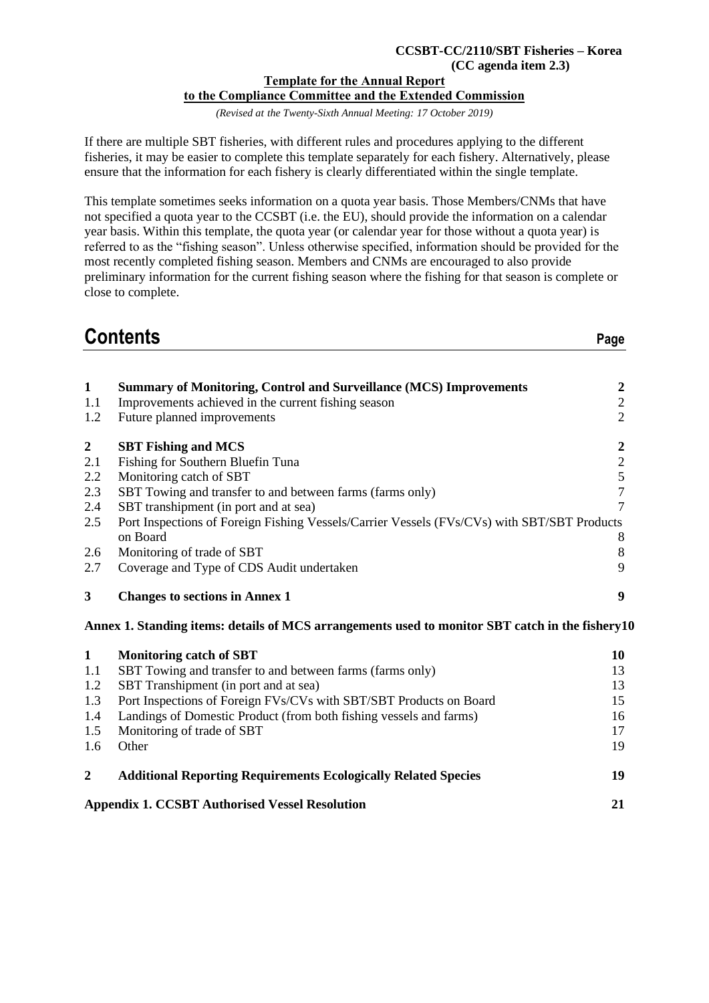#### **CCSBT-CC/2110/SBT Fisheries – Korea (CC agenda item 2.3)**

### **Template for the Annual Report to the Compliance Committee and the Extended Commission**

*(Revised at the Twenty-Sixth Annual Meeting: 17 October 2019)*

If there are multiple SBT fisheries, with different rules and procedures applying to the different fisheries, it may be easier to complete this template separately for each fishery. Alternatively, please ensure that the information for each fishery is clearly differentiated within the single template.

This template sometimes seeks information on a quota year basis. Those Members/CNMs that have not specified a quota year to the CCSBT (i.e. the EU), should provide the information on a calendar year basis. Within this template, the quota year (or calendar year for those without a quota year) is referred to as the "fishing season". Unless otherwise specified, information should be provided for the most recently completed fishing season. Members and CNMs are encouraged to also provide preliminary information for the current fishing season where the fishing for that season is complete or close to complete.

**Contents Page** 

| $\mathbf{1}$   | <b>Summary of Monitoring, Control and Surveillance (MCS) Improvements</b>                       | $\boldsymbol{2}$ |
|----------------|-------------------------------------------------------------------------------------------------|------------------|
| 1.1            | Improvements achieved in the current fishing season                                             | $\overline{2}$   |
| 1.2            | Future planned improvements                                                                     | $\overline{2}$   |
| $\overline{2}$ | <b>SBT Fishing and MCS</b>                                                                      | $\boldsymbol{2}$ |
| 2.1            | Fishing for Southern Bluefin Tuna                                                               | $\overline{2}$   |
| 2.2            | Monitoring catch of SBT                                                                         | 5                |
| 2.3            | SBT Towing and transfer to and between farms (farms only)                                       | $\overline{7}$   |
| 2.4            | SBT transhipment (in port and at sea)                                                           | 7                |
| 2.5            | Port Inspections of Foreign Fishing Vessels/Carrier Vessels (FVs/CVs) with SBT/SBT Products     |                  |
|                | on Board                                                                                        | 8                |
| 2.6            | Monitoring of trade of SBT                                                                      | 8                |
| 2.7            | Coverage and Type of CDS Audit undertaken                                                       | 9                |
|                |                                                                                                 |                  |
| 3              | <b>Changes to sections in Annex 1</b>                                                           | 9                |
|                | Annex 1. Standing items: details of MCS arrangements used to monitor SBT catch in the fishery10 |                  |
| $\mathbf{1}$   | <b>Monitoring catch of SBT</b>                                                                  | 10               |
| 1.1            | SBT Towing and transfer to and between farms (farms only)                                       | 13               |
| 1.2            | SBT Transhipment (in port and at sea)                                                           | 13               |
| 1.3            | Port Inspections of Foreign FVs/CVs with SBT/SBT Products on Board                              | 15               |
| 1.4            | Landings of Domestic Product (from both fishing vessels and farms)                              | 16               |
| 1.5            | Monitoring of trade of SBT                                                                      | 17               |
| 1.6            | Other                                                                                           | 19               |

#### **Appendix 1. CCSBT Authorised Vessel Resolution 21**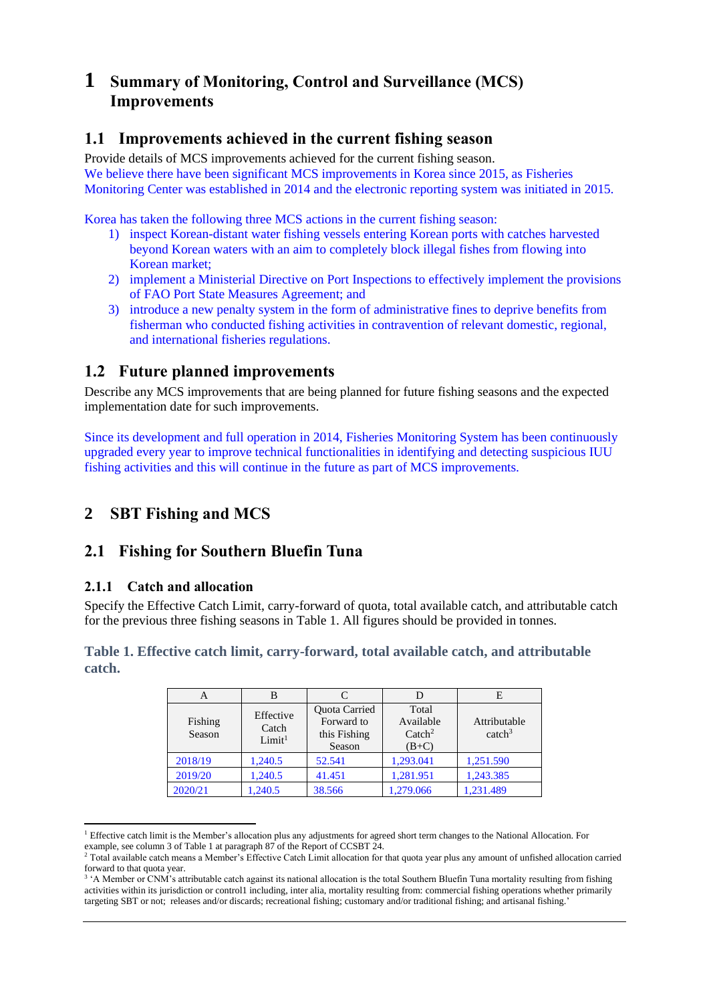# **1 Summary of Monitoring, Control and Surveillance (MCS) Improvements**

## **1.1 Improvements achieved in the current fishing season**

Provide details of MCS improvements achieved for the current fishing season. We believe there have been significant MCS improvements in Korea since 2015, as Fisheries Monitoring Center was established in 2014 and the electronic reporting system was initiated in 2015.

Korea has taken the following three MCS actions in the current fishing season:

- 1) inspect Korean-distant water fishing vessels entering Korean ports with catches harvested beyond Korean waters with an aim to completely block illegal fishes from flowing into Korean market;
- 2) implement a Ministerial Directive on Port Inspections to effectively implement the provisions of FAO Port State Measures Agreement; and
- 3) introduce a new penalty system in the form of administrative fines to deprive benefits from fisherman who conducted fishing activities in contravention of relevant domestic, regional, and international fisheries regulations.

# **1.2 Future planned improvements**

Describe any MCS improvements that are being planned for future fishing seasons and the expected implementation date for such improvements.

Since its development and full operation in 2014, Fisheries Monitoring System has been continuously upgraded every year to improve technical functionalities in identifying and detecting suspicious IUU fishing activities and this will continue in the future as part of MCS improvements.

# **2 SBT Fishing and MCS**

## **2.1 Fishing for Southern Bluefin Tuna**

## **2.1.1 Catch and allocation**

Specify the Effective Catch Limit, carry-forward of quota, total available catch, and attributable catch for the previous three fishing seasons in [Table 1.](#page-1-0) All figures should be provided in tonnes.

### <span id="page-1-0"></span>**Table 1. Effective catch limit, carry-forward, total available catch, and attributable catch.**

| A                 | B                                        |                                                       |                                                   | E                                  |
|-------------------|------------------------------------------|-------------------------------------------------------|---------------------------------------------------|------------------------------------|
| Fishing<br>Season | Effective<br>Catch<br>Limit <sup>1</sup> | Quota Carried<br>Forward to<br>this Fishing<br>Season | Total<br>Available<br>$\text{Catch}^2$<br>$(B+C)$ | Attributable<br>catch <sup>3</sup> |
| 2018/19           | 1,240.5                                  | 52.541                                                | 1,293.041                                         | 1,251.590                          |
| 2019/20           | 1,240.5                                  | 41.451                                                | 1,281.951                                         | 1,243.385                          |
| 2020/21           | 1,240.5                                  | 38.566                                                | 1,279.066                                         | 1.231.489                          |

<sup>&</sup>lt;sup>1</sup> Effective catch limit is the Member's allocation plus any adjustments for agreed short term changes to the National Allocation. For example, see column 3 of Table 1 at paragraph 87 of the Report of CCSBT 24.

<sup>&</sup>lt;sup>2</sup> Total available catch means a Member's Effective Catch Limit allocation for that quota year plus any amount of unfished allocation carried forward to that quota year.

<sup>&</sup>lt;sup>3</sup> 'A Member or CNM's attributable catch against its national allocation is the total Southern Bluefin Tuna mortality resulting from fishing activities within its jurisdiction or control1 including, inter alia, mortality resulting from: commercial fishing operations whether primarily targeting SBT or not; releases and/or discards; recreational fishing; customary and/or traditional fishing; and artisanal fishing.'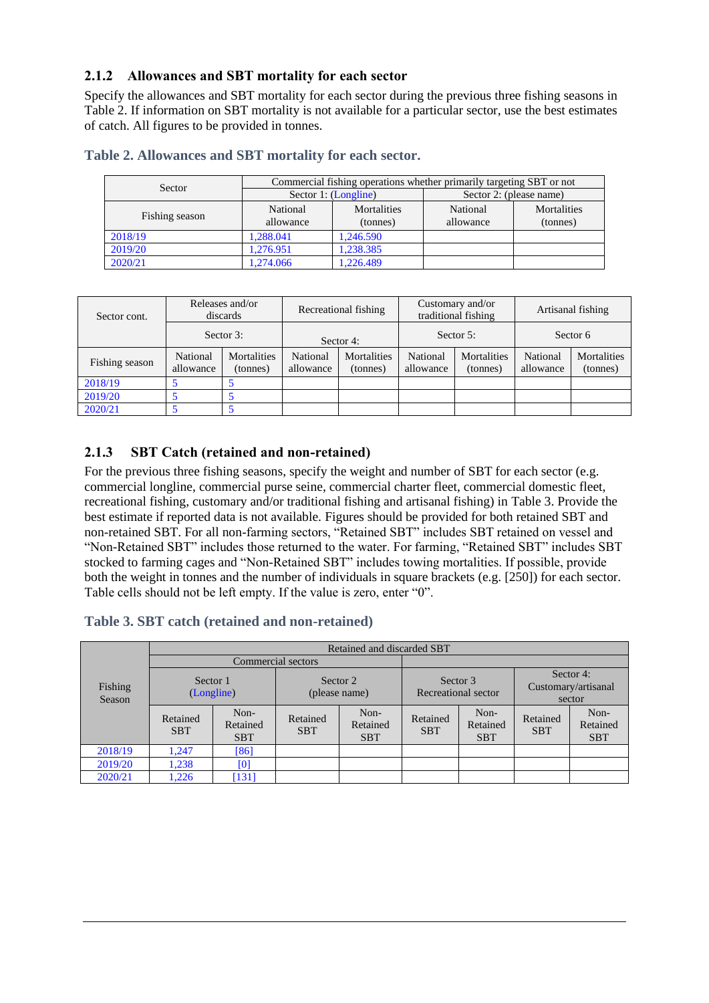## **2.1.2 Allowances and SBT mortality for each sector**

Specify the allowances and SBT mortality for each sector during the previous three fishing seasons in [Table 2.](#page-2-0) If information on SBT mortality is not available for a particular sector, use the best estimates of catch. All figures to be provided in tonnes.

| Sector         |                       | Commercial fishing operations whether primarily targeting SBT or not |                         |                                |  |  |
|----------------|-----------------------|----------------------------------------------------------------------|-------------------------|--------------------------------|--|--|
|                |                       | Sector 1: (Longline)                                                 | Sector 2: (please name) |                                |  |  |
| Fishing season | National<br>allowance | Mortalities<br>(tonnes)                                              | National<br>allowance   | <b>Mortalities</b><br>(tonnes) |  |  |
| 2018/19        | 1.288.041             | 1.246.590                                                            |                         |                                |  |  |
| 2019/20        | 1.276.951             | 1,238.385                                                            |                         |                                |  |  |
| 2020/21        | 1.274.066             | 1,226.489                                                            |                         |                                |  |  |

#### <span id="page-2-0"></span>**Table 2. Allowances and SBT mortality for each sector.**

| Sector cont.   | Releases and/or<br>discards |                                | Recreational fishing  |                                | Customary and/or<br>traditional fishing |                         |                       | Artisanal fishing              |
|----------------|-----------------------------|--------------------------------|-----------------------|--------------------------------|-----------------------------------------|-------------------------|-----------------------|--------------------------------|
|                |                             | Sector $3$ :                   | Sector 4:             |                                | Sector 5:                               |                         | Sector 6              |                                |
| Fishing season | National<br>allowance       | <b>Mortalities</b><br>(tonnes) | National<br>allowance | <b>Mortalities</b><br>(tonnes) | National<br>allowance                   | Mortalities<br>(tonnes) | National<br>allowance | <b>Mortalities</b><br>(tonnes) |
| 2018/19        |                             |                                |                       |                                |                                         |                         |                       |                                |
| 2019/20        |                             |                                |                       |                                |                                         |                         |                       |                                |
| 2020/21        |                             |                                |                       |                                |                                         |                         |                       |                                |

## **2.1.3 SBT Catch (retained and non-retained)**

For the previous three fishing seasons, specify the weight and number of SBT for each sector (e.g. commercial longline, commercial purse seine, commercial charter fleet, commercial domestic fleet, recreational fishing, customary and/or traditional fishing and artisanal fishing) in Table 3. Provide the best estimate if reported data is not available. Figures should be provided for both retained SBT and non-retained SBT. For all non-farming sectors, "Retained SBT" includes SBT retained on vessel and "Non-Retained SBT" includes those returned to the water. For farming, "Retained SBT" includes SBT stocked to farming cages and "Non-Retained SBT" includes towing mortalities. If possible, provide both the weight in tonnes and the number of individuals in square brackets (e.g. [250]) for each sector. Table cells should not be left empty. If the value is zero, enter "0".

### **Table 3. SBT catch (retained and non-retained)**

|                   |                        | Retained and discarded SBT     |                           |                                |                                 |                                |                                            |                                |
|-------------------|------------------------|--------------------------------|---------------------------|--------------------------------|---------------------------------|--------------------------------|--------------------------------------------|--------------------------------|
| Fishing<br>Season | Commercial sectors     |                                |                           |                                |                                 |                                |                                            |                                |
|                   | Sector 1<br>(Longline) |                                | Sector 2<br>(please name) |                                | Sector 3<br>Recreational sector |                                | Sector 4:<br>Customary/artisanal<br>sector |                                |
|                   | Retained<br><b>SBT</b> | Non-<br>Retained<br><b>SBT</b> | Retained<br><b>SBT</b>    | Non-<br>Retained<br><b>SBT</b> | Retained<br><b>SBT</b>          | Non-<br>Retained<br><b>SBT</b> | Retained<br><b>SBT</b>                     | Non-<br>Retained<br><b>SBT</b> |
| 2018/19           | 1,247                  | [86]                           |                           |                                |                                 |                                |                                            |                                |
| 2019/20           | 1,238                  | [0]                            |                           |                                |                                 |                                |                                            |                                |
| 2020/21           | 1,226                  | [131]                          |                           |                                |                                 |                                |                                            |                                |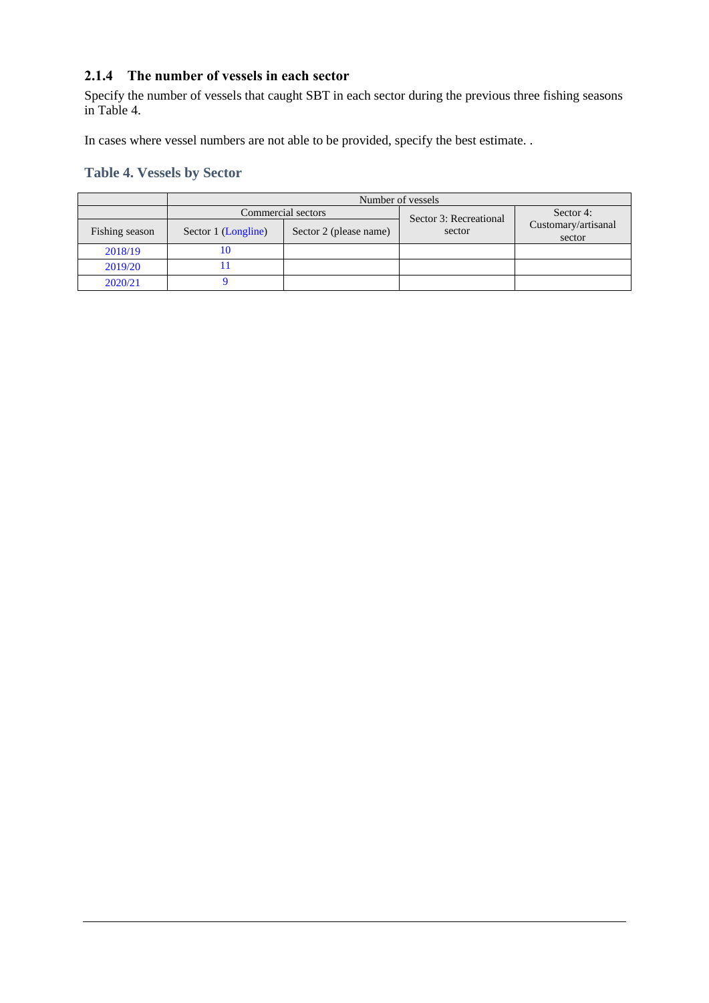## **2.1.4 The number of vessels in each sector**

Specify the number of vessels that caught SBT in each sector during the previous three fishing seasons in Table 4.

In cases where vessel numbers are not able to be provided, specify the best estimate. .

## **Table 4. Vessels by Sector**

|                | Number of vessels   |                        |                        |                               |
|----------------|---------------------|------------------------|------------------------|-------------------------------|
|                |                     | Commercial sectors     | Sector 3: Recreational | Sector 4:                     |
| Fishing season | Sector 1 (Longline) | Sector 2 (please name) | sector                 | Customary/artisanal<br>sector |
| 2018/19        | $\theta$            |                        |                        |                               |
| 2019/20        |                     |                        |                        |                               |
| 2020/21        |                     |                        |                        |                               |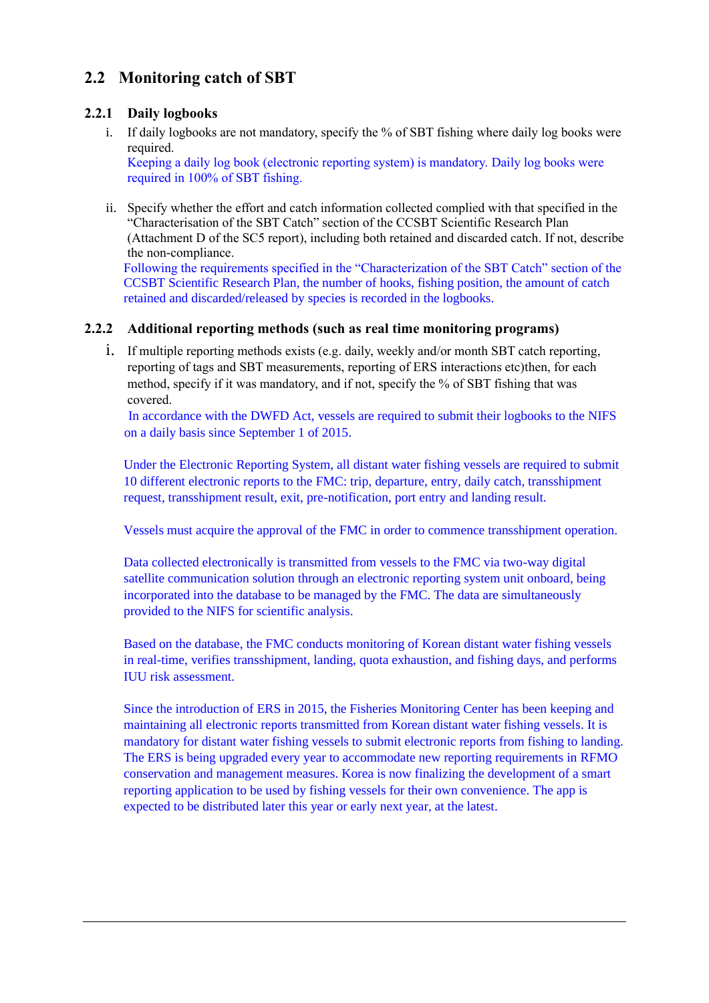# **2.2 Monitoring catch of SBT**

## **2.2.1 Daily logbooks**

i. If daily logbooks are not mandatory, specify the % of SBT fishing where daily log books were required.

Keeping a daily log book (electronic reporting system) is mandatory. Daily log books were required in 100% of SBT fishing.

ii. Specify whether the effort and catch information collected complied with that specified in the "Characterisation of the SBT Catch" section of the CCSBT Scientific Research Plan (Attachment D of the SC5 report), including both retained and discarded catch. If not, describe the non-compliance.

Following the requirements specified in the "Characterization of the SBT Catch" section of the CCSBT Scientific Research Plan, the number of hooks, fishing position, the amount of catch retained and discarded/released by species is recorded in the logbooks.

## **2.2.2 Additional reporting methods (such as real time monitoring programs)**

i. If multiple reporting methods exists (e.g. daily, weekly and/or month SBT catch reporting, reporting of tags and SBT measurements, reporting of ERS interactions etc)then, for each method, specify if it was mandatory, and if not, specify the % of SBT fishing that was covered.

In accordance with the DWFD Act, vessels are required to submit their logbooks to the NIFS on a daily basis since September 1 of 2015.

Under the Electronic Reporting System, all distant water fishing vessels are required to submit 10 different electronic reports to the FMC: trip, departure, entry, daily catch, transshipment request, transshipment result, exit, pre-notification, port entry and landing result.

Vessels must acquire the approval of the FMC in order to commence transshipment operation.

Data collected electronically is transmitted from vessels to the FMC via two-way digital satellite communication solution through an electronic reporting system unit onboard, being incorporated into the database to be managed by the FMC. The data are simultaneously provided to the NIFS for scientific analysis.

Based on the database, the FMC conducts monitoring of Korean distant water fishing vessels in real-time, verifies transshipment, landing, quota exhaustion, and fishing days, and performs IUU risk assessment.

Since the introduction of ERS in 2015, the Fisheries Monitoring Center has been keeping and maintaining all electronic reports transmitted from Korean distant water fishing vessels. It is mandatory for distant water fishing vessels to submit electronic reports from fishing to landing. The ERS is being upgraded every year to accommodate new reporting requirements in RFMO conservation and management measures. Korea is now finalizing the development of a smart reporting application to be used by fishing vessels for their own convenience. The app is expected to be distributed later this year or early next year, at the latest.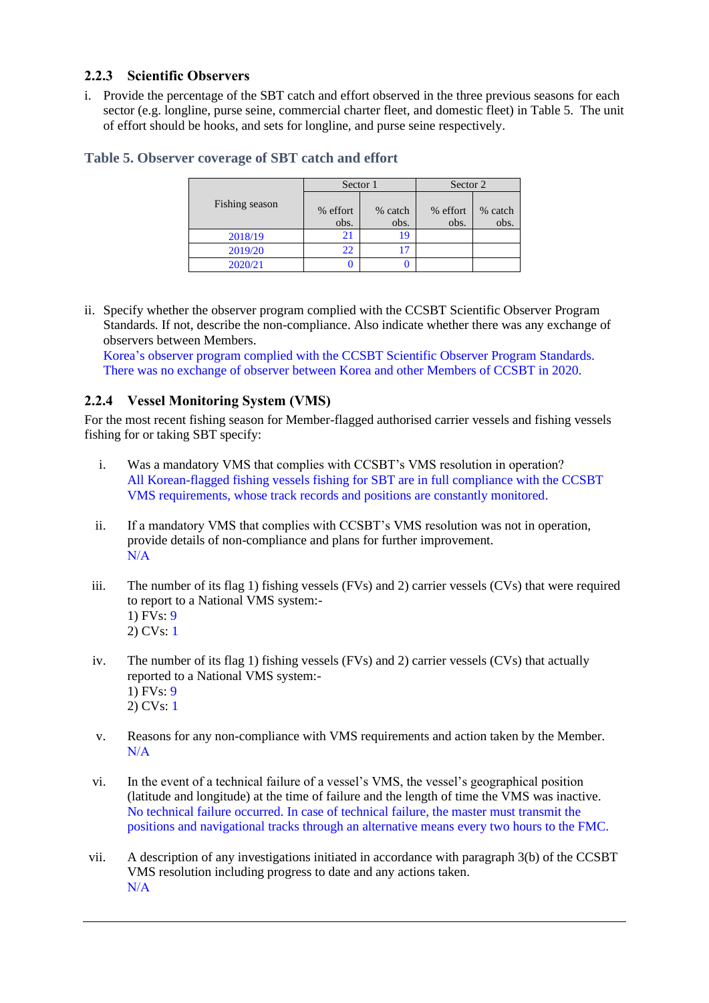## **2.2.3 Scientific Observers**

i. Provide the percentage of the SBT catch and effort observed in the three previous seasons for each sector (e.g. longline, purse seine, commercial charter fleet, and domestic fleet) in [Table 5.](#page-5-0) The unit of effort should be hooks, and sets for longline, and purse seine respectively.

|                | Sector 1         |                 | Sector 2         |                 |
|----------------|------------------|-----------------|------------------|-----------------|
| Fishing season | % effort<br>obs. | % catch<br>obs. | % effort<br>obs. | % catch<br>obs. |
| 2018/19        |                  | 19              |                  |                 |
| 2019/20        | 22               |                 |                  |                 |
| 2020/21        |                  |                 |                  |                 |

#### <span id="page-5-0"></span>**Table 5. Observer coverage of SBT catch and effort**

ii. Specify whether the observer program complied with the CCSBT Scientific Observer Program Standards. If not, describe the non-compliance. Also indicate whether there was any exchange of observers between Members.

Korea's observer program complied with the CCSBT Scientific Observer Program Standards. There was no exchange of observer between Korea and other Members of CCSBT in 2020.

## **2.2.4 Vessel Monitoring System (VMS)**

For the most recent fishing season for Member-flagged authorised carrier vessels and fishing vessels fishing for or taking SBT specify:

- i. Was a mandatory VMS that complies with CCSBT's VMS resolution in operation? All Korean-flagged fishing vessels fishing for SBT are in full compliance with the CCSBT VMS requirements, whose track records and positions are constantly monitored.
- ii. If a mandatory VMS that complies with CCSBT's VMS resolution was not in operation, provide details of non-compliance and plans for further improvement. N/A
- iii. The number of its flag 1) fishing vessels (FVs) and 2) carrier vessels (CVs) that were required to report to a National VMS system:- 1) FVs: 9 2) CVs: 1
- iv. The number of its flag 1) fishing vessels (FVs) and 2) carrier vessels (CVs) that actually reported to a National VMS system:- 1) FVs: 9 2) CVs: 1
- v. Reasons for any non-compliance with VMS requirements and action taken by the Member. N/A
- vi. In the event of a technical failure of a vessel's VMS, the vessel's geographical position (latitude and longitude) at the time of failure and the length of time the VMS was inactive. No technical failure occurred. In case of technical failure, the master must transmit the positions and navigational tracks through an alternative means every two hours to the FMC.
- vii. A description of any investigations initiated in accordance with paragraph 3(b) of the CCSBT VMS resolution including progress to date and any actions taken. N/A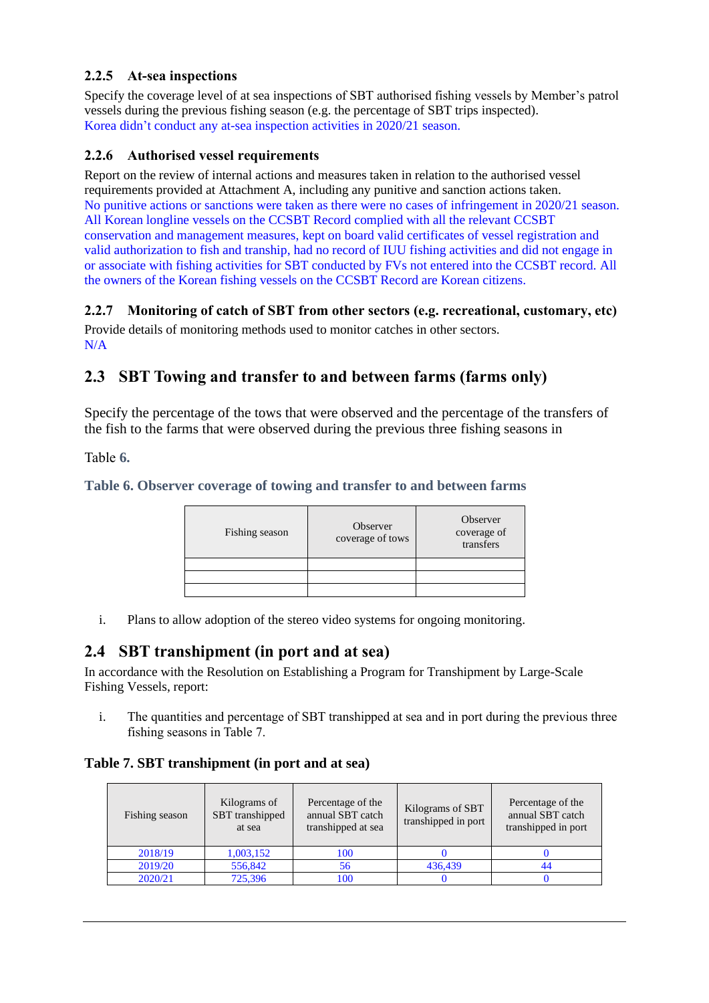## **2.2.5 At-sea inspections**

Specify the coverage level of at sea inspections of SBT authorised fishing vessels by Member's patrol vessels during the previous fishing season (e.g. the percentage of SBT trips inspected). Korea didn't conduct any at-sea inspection activities in 2020/21 season.

### **2.2.6 Authorised vessel requirements**

Report on the review of internal actions and measures taken in relation to the authorised vessel requirements provided at Attachment A, including any punitive and sanction actions taken. No punitive actions or sanctions were taken as there were no cases of infringement in 2020/21 season. All Korean longline vessels on the CCSBT Record complied with all the relevant CCSBT conservation and management measures, kept on board valid certificates of vessel registration and valid authorization to fish and tranship, had no record of IUU fishing activities and did not engage in or associate with fishing activities for SBT conducted by FVs not entered into the CCSBT record. All the owners of the Korean fishing vessels on the CCSBT Record are Korean citizens.

## **2.2.7 Monitoring of catch of SBT from other sectors (e.g. recreational, customary, etc)**

Provide details of monitoring methods used to monitor catches in other sectors. N/A

## **2.3 SBT Towing and transfer to and between farms (farms only)**

Specify the percentage of the tows that were observed and the percentage of the transfers of the fish to the farms that were observed during the previous three fishing seasons in

<span id="page-6-0"></span>[Table](#page-6-0) **6.**

### **Table 6. Observer coverage of towing and transfer to and between farms**

| Fishing season | Observer<br>coverage of tows | Observer<br>coverage of<br>transfers |
|----------------|------------------------------|--------------------------------------|
|                |                              |                                      |
|                |                              |                                      |
|                |                              |                                      |

i. Plans to allow adoption of the stereo video systems for ongoing monitoring.

## **2.4 SBT transhipment (in port and at sea)**

In accordance with the Resolution on Establishing a Program for Transhipment by Large-Scale Fishing Vessels, report:

i. The quantities and percentage of SBT transhipped at sea and in port during the previous three fishing seasons i[n Table 7.](#page-6-1)

### <span id="page-6-1"></span>**Table 7. SBT transhipment (in port and at sea)**

| Fishing season | Kilograms of<br>SBT transhipped<br>at sea | Percentage of the<br>annual SBT catch<br>transhipped at sea | Kilograms of SBT<br>transhipped in port | Percentage of the<br>annual SBT catch<br>transhipped in port |
|----------------|-------------------------------------------|-------------------------------------------------------------|-----------------------------------------|--------------------------------------------------------------|
| 2018/19        | 1,003,152                                 | 100                                                         |                                         |                                                              |
| 2019/20        | 556,842                                   | 56                                                          | 436,439                                 | 44                                                           |
| 2020/21        | 725,396                                   | 100                                                         |                                         |                                                              |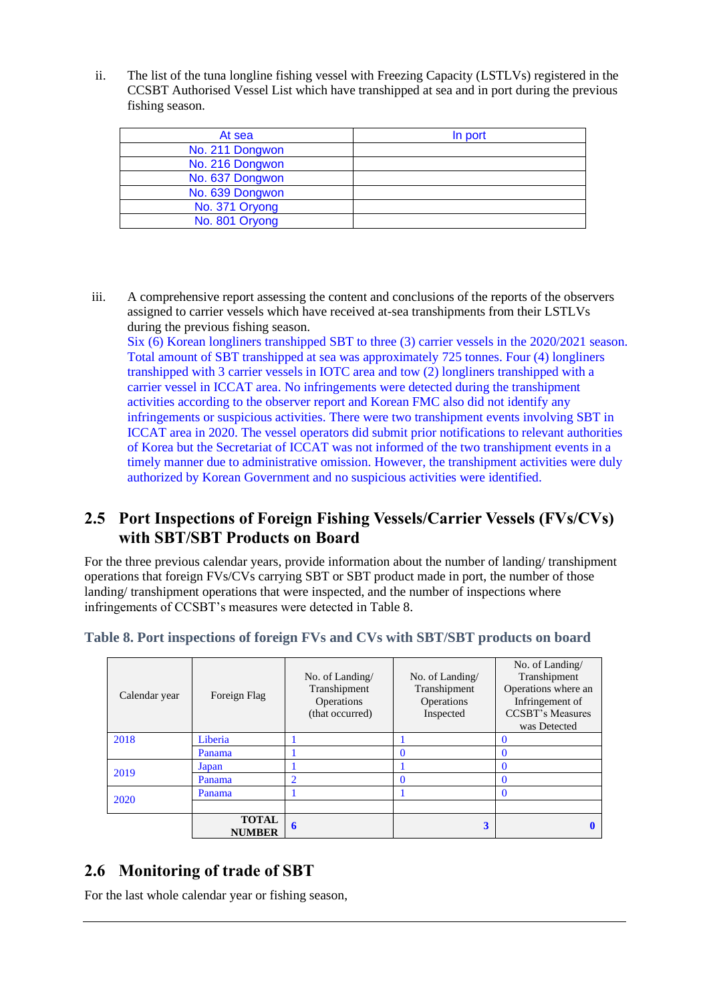ii. The list of the tuna longline fishing vessel with Freezing Capacity (LSTLVs) registered in the CCSBT Authorised Vessel List which have transhipped at sea and in port during the previous fishing season.

| At sea          | In port |
|-----------------|---------|
| No. 211 Dongwon |         |
| No. 216 Dongwon |         |
| No. 637 Dongwon |         |
| No. 639 Dongwon |         |
| No. 371 Oryong  |         |
| No. 801 Oryong  |         |

iii. A comprehensive report assessing the content and conclusions of the reports of the observers assigned to carrier vessels which have received at-sea transhipments from their LSTLVs during the previous fishing season.

Six (6) Korean longliners transhipped SBT to three (3) carrier vessels in the 2020/2021 season. Total amount of SBT transhipped at sea was approximately 725 tonnes. Four (4) longliners transhipped with 3 carrier vessels in IOTC area and tow (2) longliners transhipped with a carrier vessel in ICCAT area. No infringements were detected during the transhipment activities according to the observer report and Korean FMC also did not identify any infringements or suspicious activities. There were two transhipment events involving SBT in ICCAT area in 2020. The vessel operators did submit prior notifications to relevant authorities of Korea but the Secretariat of ICCAT was not informed of the two transhipment events in a timely manner due to administrative omission. However, the transhipment activities were duly authorized by Korean Government and no suspicious activities were identified.

## **2.5 Port Inspections of Foreign Fishing Vessels/Carrier Vessels (FVs/CVs) with SBT/SBT Products on Board**

For the three previous calendar years, provide information about the number of landing/ transhipment operations that foreign FVs/CVs carrying SBT or SBT product made in port, the number of those landing/ transhipment operations that were inspected, and the number of inspections where infringements of CCSBT's measures were detected i[n Table 8.](#page-7-0)

| Calendar year | Foreign Flag                  | No. of Landing/<br>Transhipment<br>Operations<br>(that occurred) | No. of Landing/<br>Transhipment<br>Operations<br>Inspected | No. of Landing/<br>Transhipment<br>Operations where an<br>Infringement of<br><b>CCSBT's Measures</b><br>was Detected |
|---------------|-------------------------------|------------------------------------------------------------------|------------------------------------------------------------|----------------------------------------------------------------------------------------------------------------------|
| 2018          | Liberia                       |                                                                  |                                                            | $\Omega$                                                                                                             |
|               | Panama                        |                                                                  |                                                            | 0                                                                                                                    |
| 2019          | Japan                         |                                                                  |                                                            | 0                                                                                                                    |
|               | Panama                        | $\overline{2}$                                                   |                                                            | 0                                                                                                                    |
| 2020          | Panama                        |                                                                  |                                                            | $\Omega$                                                                                                             |
|               |                               |                                                                  |                                                            |                                                                                                                      |
|               | <b>TOTAL</b><br><b>NUMBER</b> | 6                                                                | 3                                                          |                                                                                                                      |

## <span id="page-7-0"></span>**Table 8. Port inspections of foreign FVs and CVs with SBT/SBT products on board**

## **2.6 Monitoring of trade of SBT**

For the last whole calendar year or fishing season,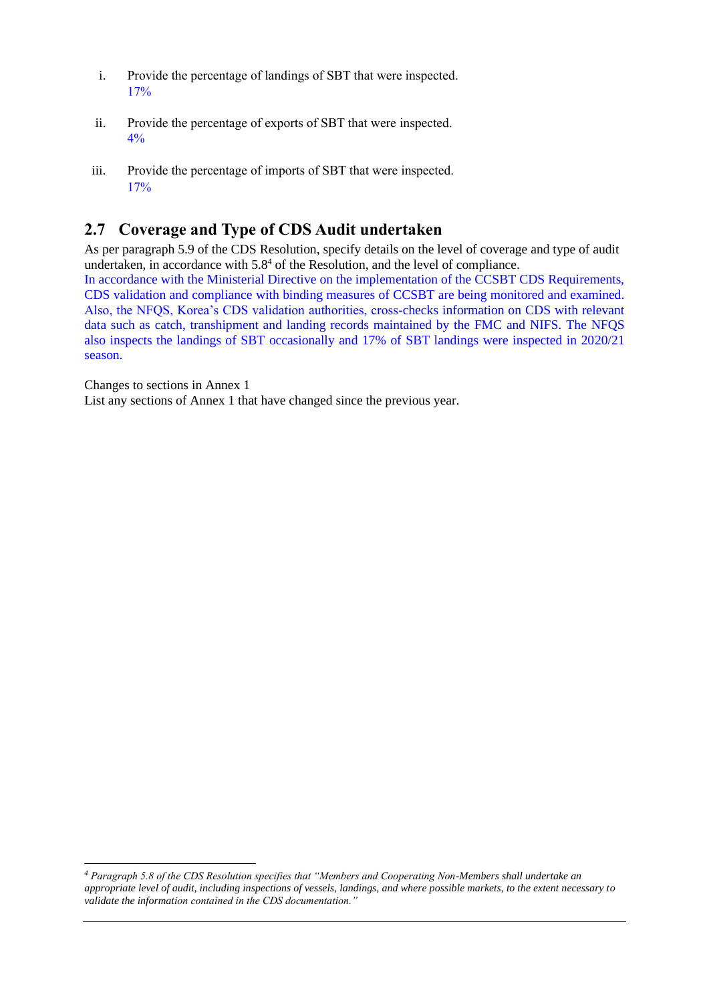- i. Provide the percentage of landings of SBT that were inspected. 17%
- ii. Provide the percentage of exports of SBT that were inspected. 4%
- iii. Provide the percentage of imports of SBT that were inspected. 17%

## **2.7 Coverage and Type of CDS Audit undertaken**

As per paragraph 5.9 of the CDS Resolution, specify details on the level of coverage and type of audit undertaken, in accordance with  $5.8<sup>4</sup>$  of the Resolution, and the level of compliance.

In accordance with the Ministerial Directive on the implementation of the CCSBT CDS Requirements, CDS validation and compliance with binding measures of CCSBT are being monitored and examined. Also, the NFQS, Korea's CDS validation authorities, cross-checks information on CDS with relevant data such as catch, transhipment and landing records maintained by the FMC and NIFS. The NFQS also inspects the landings of SBT occasionally and 17% of SBT landings were inspected in 2020/21 season.

Changes to sections in Annex 1

List any sections of Annex 1 that have changed since the previous year.

*<sup>4</sup> Paragraph 5.8 of the CDS Resolution specifies that "Members and Cooperating Non-Members shall undertake an appropriate level of audit, including inspections of vessels, landings, and where possible markets, to the extent necessary to validate the information contained in the CDS documentation."*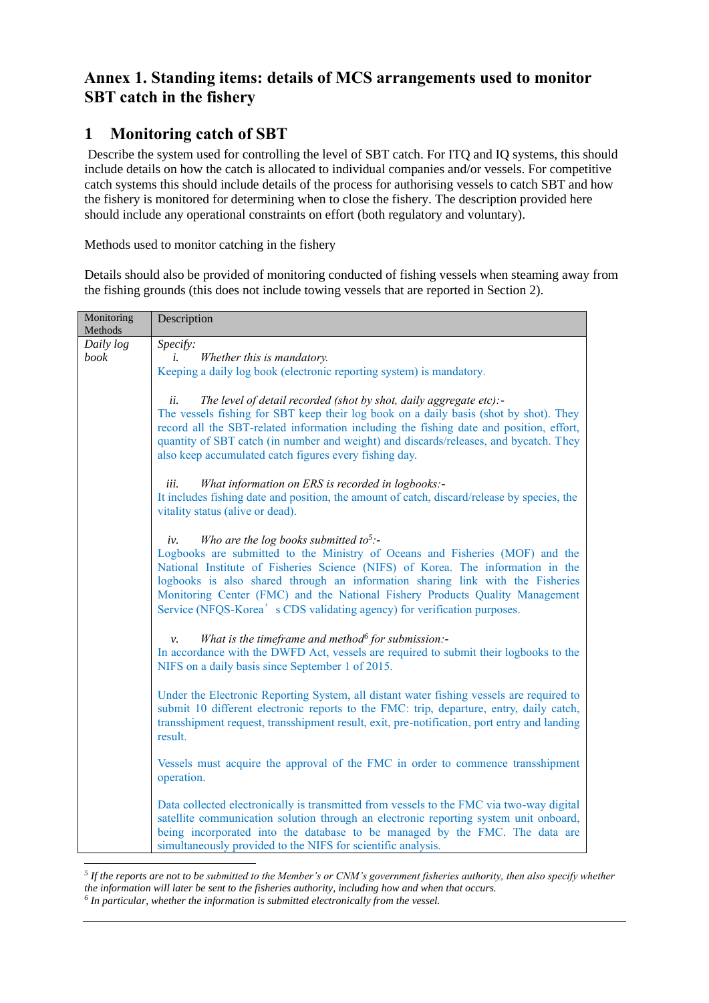# **Annex 1. Standing items: details of MCS arrangements used to monitor SBT catch in the fishery**

# **1 Monitoring catch of SBT**

Describe the system used for controlling the level of SBT catch. For ITQ and IQ systems, this should include details on how the catch is allocated to individual companies and/or vessels. For competitive catch systems this should include details of the process for authorising vessels to catch SBT and how the fishery is monitored for determining when to close the fishery. The description provided here should include any operational constraints on effort (both regulatory and voluntary).

Methods used to monitor catching in the fishery

Details should also be provided of monitoring conducted of fishing vessels when steaming away from the fishing grounds (this does not include towing vessels that are reported in Section 2).

| Monitoring<br>Methods | Description                                                                                                                                                                                                                                                                                                                                                                                                                                                                |
|-----------------------|----------------------------------------------------------------------------------------------------------------------------------------------------------------------------------------------------------------------------------------------------------------------------------------------------------------------------------------------------------------------------------------------------------------------------------------------------------------------------|
| Daily log             | Specify:                                                                                                                                                                                                                                                                                                                                                                                                                                                                   |
| book                  | Whether this is mandatory.<br>i.                                                                                                                                                                                                                                                                                                                                                                                                                                           |
|                       | Keeping a daily log book (electronic reporting system) is mandatory.                                                                                                                                                                                                                                                                                                                                                                                                       |
|                       |                                                                                                                                                                                                                                                                                                                                                                                                                                                                            |
|                       | The level of detail recorded (shot by shot, daily aggregate etc):-<br>ii.<br>The vessels fishing for SBT keep their log book on a daily basis (shot by shot). They<br>record all the SBT-related information including the fishing date and position, effort,<br>quantity of SBT catch (in number and weight) and discards/releases, and bycatch. They<br>also keep accumulated catch figures every fishing day.                                                           |
|                       | What information on ERS is recorded in logbooks:-<br>iii.                                                                                                                                                                                                                                                                                                                                                                                                                  |
|                       | It includes fishing date and position, the amount of catch, discard/release by species, the                                                                                                                                                                                                                                                                                                                                                                                |
|                       | vitality status (alive or dead).                                                                                                                                                                                                                                                                                                                                                                                                                                           |
|                       |                                                                                                                                                                                                                                                                                                                                                                                                                                                                            |
|                       | Who are the log books submitted to <sup>5</sup> :-<br>iv.<br>Logbooks are submitted to the Ministry of Oceans and Fisheries (MOF) and the<br>National Institute of Fisheries Science (NIFS) of Korea. The information in the<br>logbooks is also shared through an information sharing link with the Fisheries<br>Monitoring Center (FMC) and the National Fishery Products Quality Management<br>Service (NFQS-Korea' s CDS validating agency) for verification purposes. |
|                       | What is the timeframe and method $6$ for submission:-<br>ν.<br>In accordance with the DWFD Act, vessels are required to submit their logbooks to the<br>NIFS on a daily basis since September 1 of 2015.                                                                                                                                                                                                                                                                   |
|                       | Under the Electronic Reporting System, all distant water fishing vessels are required to<br>submit 10 different electronic reports to the FMC: trip, departure, entry, daily catch,<br>transshipment request, transshipment result, exit, pre-notification, port entry and landing<br>result.                                                                                                                                                                              |
|                       | Vessels must acquire the approval of the FMC in order to commence transshipment<br>operation.                                                                                                                                                                                                                                                                                                                                                                              |
|                       | Data collected electronically is transmitted from vessels to the FMC via two-way digital<br>satellite communication solution through an electronic reporting system unit onboard,<br>being incorporated into the database to be managed by the FMC. The data are<br>simultaneously provided to the NIFS for scientific analysis.                                                                                                                                           |

*<sup>5</sup> If the reports are not to be submitted to the Member's or CNM's government fisheries authority, then also specify whether the information will later be sent to the fisheries authority, including how and when that occurs. 6 In particular, whether the information is submitted electronically from the vessel.*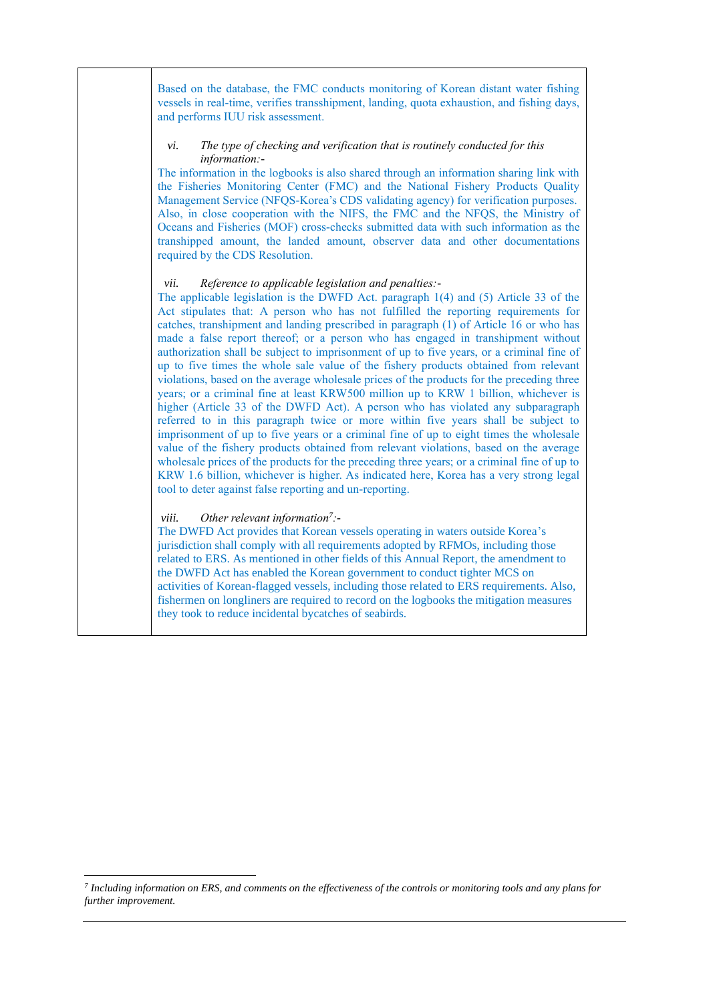Based on the database, the FMC conducts monitoring of Korean distant water fishing vessels in real-time, verifies transshipment, landing, quota exhaustion, and fishing days, and performs IUU risk assessment.

#### *vi. The type of checking and verification that is routinely conducted for this information:-*

The information in the logbooks is also shared through an information sharing link with the Fisheries Monitoring Center (FMC) and the National Fishery Products Quality Management Service (NFQS-Korea's CDS validating agency) for verification purposes. Also, in close cooperation with the NIFS, the FMC and the NFQS, the Ministry of Oceans and Fisheries (MOF) cross-checks submitted data with such information as the transhipped amount, the landed amount, observer data and other documentations required by the CDS Resolution.

#### *vii. Reference to applicable legislation and penalties:-*

The applicable legislation is the DWFD Act. paragraph 1(4) and (5) Article 33 of the Act stipulates that: A person who has not fulfilled the reporting requirements for catches, transhipment and landing prescribed in paragraph (1) of Article 16 or who has made a false report thereof; or a person who has engaged in transhipment without authorization shall be subject to imprisonment of up to five years, or a criminal fine of up to five times the whole sale value of the fishery products obtained from relevant violations, based on the average wholesale prices of the products for the preceding three years; or a criminal fine at least KRW500 million up to KRW 1 billion, whichever is higher (Article 33 of the DWFD Act). A person who has violated any subparagraph referred to in this paragraph twice or more within five years shall be subject to imprisonment of up to five years or a criminal fine of up to eight times the wholesale value of the fishery products obtained from relevant violations, based on the average wholesale prices of the products for the preceding three years; or a criminal fine of up to KRW 1.6 billion, whichever is higher. As indicated here, Korea has a very strong legal tool to deter against false reporting and un-reporting.

#### *viii. Other relevant information<sup>7</sup> :-*

The DWFD Act provides that Korean vessels operating in waters outside Korea's jurisdiction shall comply with all requirements adopted by RFMOs, including those related to ERS. As mentioned in other fields of this Annual Report, the amendment to the DWFD Act has enabled the Korean government to conduct tighter MCS on activities of Korean-flagged vessels, including those related to ERS requirements. Also, fishermen on longliners are required to record on the logbooks the mitigation measures they took to reduce incidental bycatches of seabirds.

*<sup>7</sup> Including information on ERS, and comments on the effectiveness of the controls or monitoring tools and any plans for further improvement.*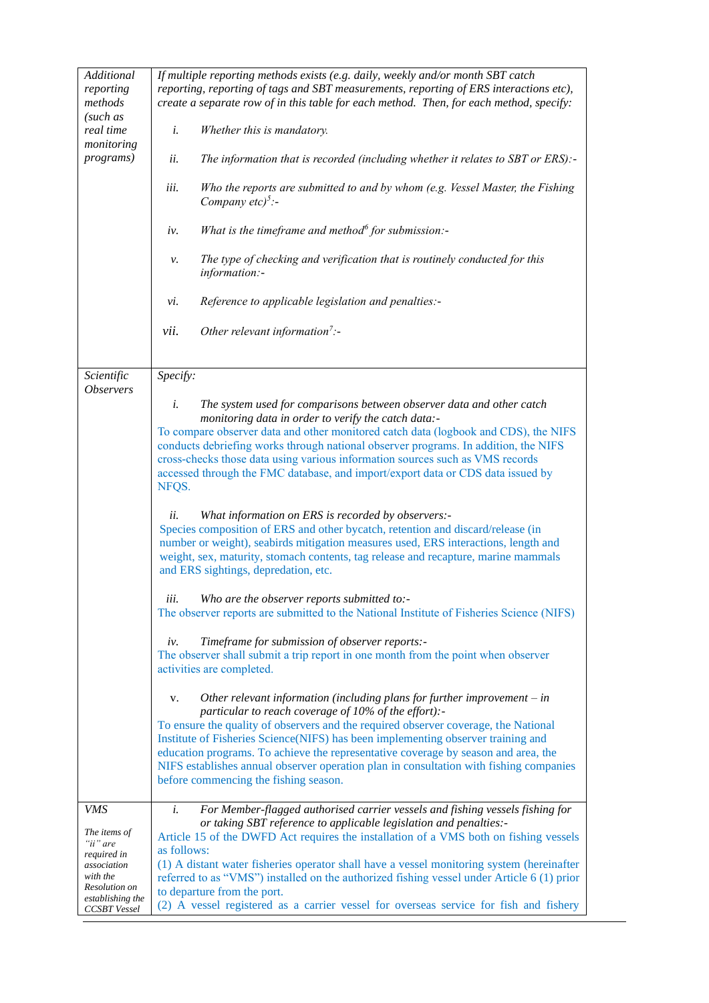| Additional<br>reporting<br>methods<br>(such as<br>real time<br>monitoring<br><i>programs</i> ) | If multiple reporting methods exists (e.g. daily, weekly and/or month SBT catch<br>reporting, reporting of tags and SBT measurements, reporting of ERS interactions etc),<br>create a separate row of in this table for each method. Then, for each method, specify:<br>i.<br>Whether this is mandatory.<br>The information that is recorded (including whether it relates to SBT or ERS):-<br>ii.<br>iii.<br>Who the reports are submitted to and by whom (e.g. Vessel Master, the Fishing<br>Company etc) <sup>5</sup> :-<br>What is the timeframe and method $\delta$ for submission:-<br>iv.<br>The type of checking and verification that is routinely conducted for this<br>ν.<br>information:-<br>Reference to applicable legislation and penalties:-<br>vi.<br>Other relevant information <sup>7</sup> :-<br>vii. |  |  |  |  |
|------------------------------------------------------------------------------------------------|---------------------------------------------------------------------------------------------------------------------------------------------------------------------------------------------------------------------------------------------------------------------------------------------------------------------------------------------------------------------------------------------------------------------------------------------------------------------------------------------------------------------------------------------------------------------------------------------------------------------------------------------------------------------------------------------------------------------------------------------------------------------------------------------------------------------------|--|--|--|--|
| Scientific                                                                                     | Specify:                                                                                                                                                                                                                                                                                                                                                                                                                                                                                                                                                                                                                                                                                                                                                                                                                  |  |  |  |  |
| <i><b>Observers</b></i>                                                                        | The system used for comparisons between observer data and other catch<br>i.<br>monitoring data in order to verify the catch data:-<br>To compare observer data and other monitored catch data (logbook and CDS), the NIFS<br>conducts debriefing works through national observer programs. In addition, the NIFS<br>cross-checks those data using various information sources such as VMS records<br>accessed through the FMC database, and import/export data or CDS data issued by<br>NFQS.<br>What information on ERS is recorded by observers:-<br>ii.<br>Species composition of ERS and other bycatch, retention and discard/release (in                                                                                                                                                                             |  |  |  |  |
|                                                                                                | number or weight), seabirds mitigation measures used, ERS interactions, length and<br>weight, sex, maturity, stomach contents, tag release and recapture, marine mammals<br>and ERS sightings, depredation, etc.                                                                                                                                                                                                                                                                                                                                                                                                                                                                                                                                                                                                          |  |  |  |  |
|                                                                                                | iii<br>Who are the observer reports submitted to:-<br>The observer reports are submitted to the National Institute of Fisheries Science (NIFS)                                                                                                                                                                                                                                                                                                                                                                                                                                                                                                                                                                                                                                                                            |  |  |  |  |
|                                                                                                |                                                                                                                                                                                                                                                                                                                                                                                                                                                                                                                                                                                                                                                                                                                                                                                                                           |  |  |  |  |
|                                                                                                | Timeframe for submission of observer reports:-<br>iv.<br>The observer shall submit a trip report in one month from the point when observer<br>activities are completed.                                                                                                                                                                                                                                                                                                                                                                                                                                                                                                                                                                                                                                                   |  |  |  |  |
|                                                                                                | Other relevant information (including plans for further improvement $-$ in<br>V.<br>particular to reach coverage of 10% of the effort):-<br>To ensure the quality of observers and the required observer coverage, the National<br>Institute of Fisheries Science(NIFS) has been implementing observer training and<br>education programs. To achieve the representative coverage by season and area, the<br>NIFS establishes annual observer operation plan in consultation with fishing companies<br>before commencing the fishing season.                                                                                                                                                                                                                                                                              |  |  |  |  |
| VMS                                                                                            | i.<br>For Member-flagged authorised carrier vessels and fishing vessels fishing for                                                                                                                                                                                                                                                                                                                                                                                                                                                                                                                                                                                                                                                                                                                                       |  |  |  |  |
| The items of                                                                                   | or taking SBT reference to applicable legislation and penalties:-<br>Article 15 of the DWFD Act requires the installation of a VMS both on fishing vessels                                                                                                                                                                                                                                                                                                                                                                                                                                                                                                                                                                                                                                                                |  |  |  |  |
| "ii" are<br>required in                                                                        | as follows:                                                                                                                                                                                                                                                                                                                                                                                                                                                                                                                                                                                                                                                                                                                                                                                                               |  |  |  |  |
| association<br>with the                                                                        | (1) A distant water fisheries operator shall have a vessel monitoring system (hereinafter<br>referred to as "VMS") installed on the authorized fishing vessel under Article 6 (1) prior                                                                                                                                                                                                                                                                                                                                                                                                                                                                                                                                                                                                                                   |  |  |  |  |
| Resolution on                                                                                  | to departure from the port.                                                                                                                                                                                                                                                                                                                                                                                                                                                                                                                                                                                                                                                                                                                                                                                               |  |  |  |  |
| establishing the<br>CCSBT Vessel                                                               | (2) A vessel registered as a carrier vessel for overseas service for fish and fishery                                                                                                                                                                                                                                                                                                                                                                                                                                                                                                                                                                                                                                                                                                                                     |  |  |  |  |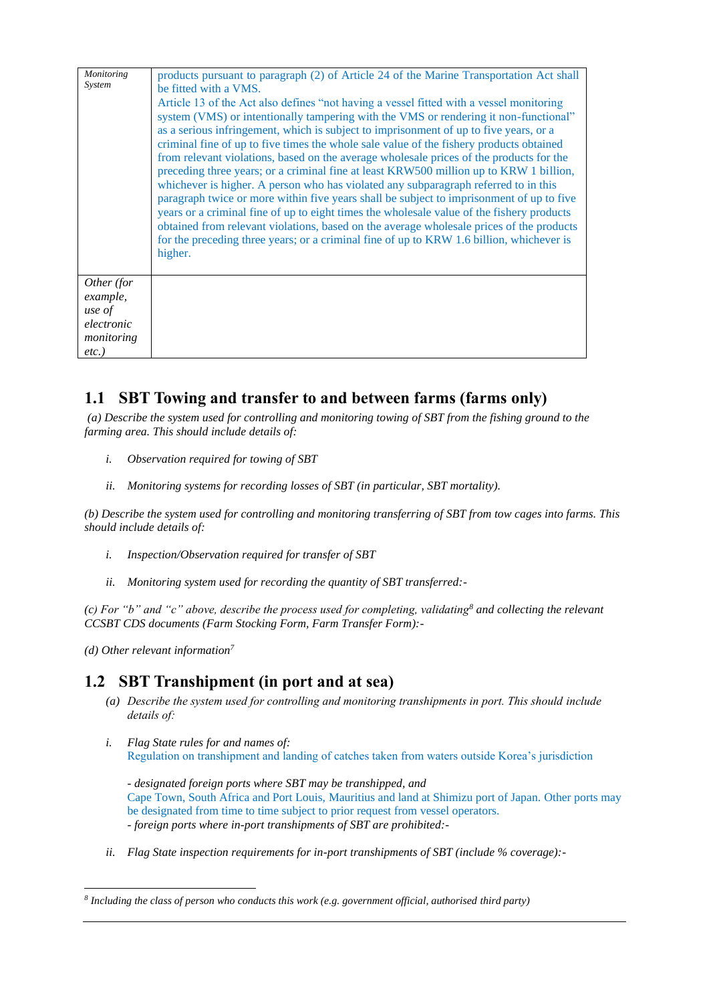| Monitoring<br>System                                                     | products pursuant to paragraph (2) of Article 24 of the Marine Transportation Act shall<br>be fitted with a VMS.<br>Article 13 of the Act also defines "not having a vessel fitted with a vessel monitoring<br>system (VMS) or intentionally tampering with the VMS or rendering it non-functional"<br>as a serious infringement, which is subject to imprisonment of up to five years, or a<br>criminal fine of up to five times the whole sale value of the fishery products obtained<br>from relevant violations, based on the average wholesale prices of the products for the<br>preceding three years; or a criminal fine at least KRW500 million up to KRW 1 billion,<br>whichever is higher. A person who has violated any subparagraph referred to in this<br>paragraph twice or more within five years shall be subject to imprisonment of up to five<br>years or a criminal fine of up to eight times the wholesale value of the fishery products<br>obtained from relevant violations, based on the average wholesale prices of the products<br>for the preceding three years; or a criminal fine of up to KRW 1.6 billion, whichever is<br>higher. |
|--------------------------------------------------------------------------|-----------------------------------------------------------------------------------------------------------------------------------------------------------------------------------------------------------------------------------------------------------------------------------------------------------------------------------------------------------------------------------------------------------------------------------------------------------------------------------------------------------------------------------------------------------------------------------------------------------------------------------------------------------------------------------------------------------------------------------------------------------------------------------------------------------------------------------------------------------------------------------------------------------------------------------------------------------------------------------------------------------------------------------------------------------------------------------------------------------------------------------------------------------------|
| Other (for<br>example,<br>use of<br>electronic<br>monitoring<br>$etc.$ ) |                                                                                                                                                                                                                                                                                                                                                                                                                                                                                                                                                                                                                                                                                                                                                                                                                                                                                                                                                                                                                                                                                                                                                                 |

## **1.1 SBT Towing and transfer to and between farms (farms only)**

*(a) Describe the system used for controlling and monitoring towing of SBT from the fishing ground to the farming area. This should include details of:*

- *i. Observation required for towing of SBT*
- *ii. Monitoring systems for recording losses of SBT (in particular, SBT mortality).*

*(b) Describe the system used for controlling and monitoring transferring of SBT from tow cages into farms. This should include details of:*

- *i. Inspection/Observation required for transfer of SBT*
- *ii. Monitoring system used for recording the quantity of SBT transferred:-*

*(c) For "b" and "c" above, describe the process used for completing, validating<sup>8</sup> and collecting the relevant CCSBT CDS documents (Farm Stocking Form, Farm Transfer Form):-*

*(d) Other relevant information<sup>7</sup>*

## **1.2 SBT Transhipment (in port and at sea)**

- *(a) Describe the system used for controlling and monitoring transhipments in port. This should include details of:*
- *i. Flag State rules for and names of:* Regulation on transhipment and landing of catches taken from waters outside Korea's jurisdiction

*- designated foreign ports where SBT may be transhipped, and*  Cape Town, South Africa and Port Louis, Mauritius and land at Shimizu port of Japan. Other ports may be designated from time to time subject to prior request from vessel operators. *- foreign ports where in-port transhipments of SBT are prohibited:-*

*ii. Flag State inspection requirements for in-port transhipments of SBT (include % coverage):-*

*<sup>8</sup> Including the class of person who conducts this work (e.g. government official, authorised third party)*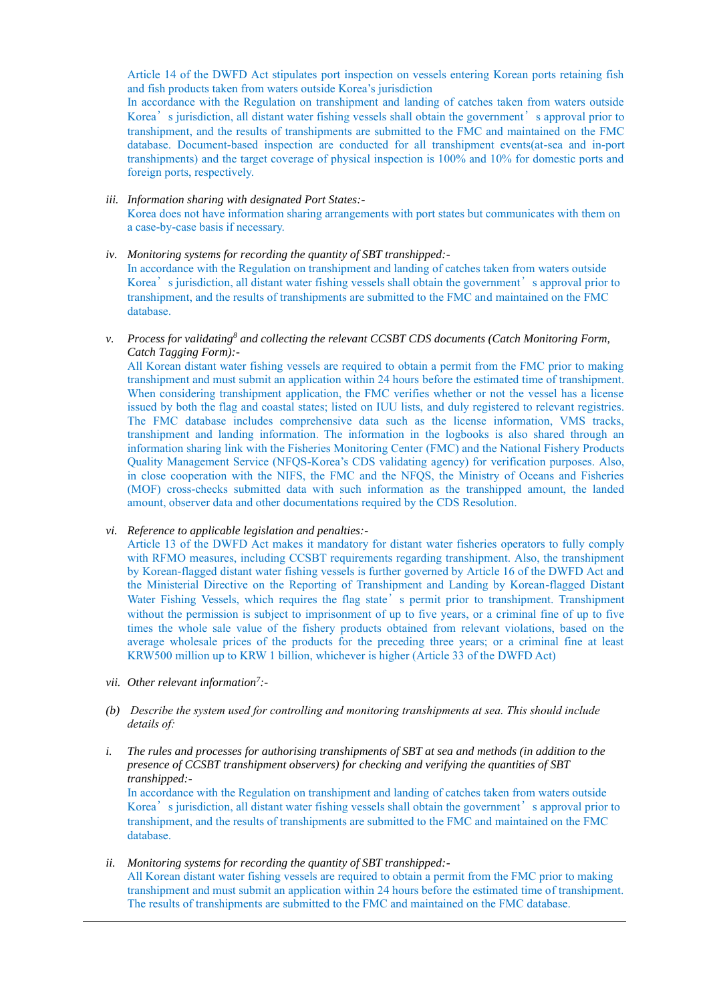Article 14 of the DWFD Act stipulates port inspection on vessels entering Korean ports retaining fish and fish products taken from waters outside Korea's jurisdiction

In accordance with the Regulation on transhipment and landing of catches taken from waters outside Korea's jurisdiction, all distant water fishing vessels shall obtain the government's approval prior to transhipment, and the results of transhipments are submitted to the FMC and maintained on the FMC database. Document-based inspection are conducted for all transhipment events(at-sea and in-port transhipments) and the target coverage of physical inspection is 100% and 10% for domestic ports and foreign ports, respectively.

#### *iii. Information sharing with designated Port States:-* Korea does not have information sharing arrangements with port states but communicates with them on a case-by-case basis if necessary.

*iv. Monitoring systems for recording the quantity of SBT transhipped:-*

In accordance with the Regulation on transhipment and landing of catches taken from waters outside Korea's jurisdiction, all distant water fishing vessels shall obtain the government's approval prior to transhipment, and the results of transhipments are submitted to the FMC and maintained on the FMC database.

*v. Process for validating<sup>8</sup> and collecting the relevant CCSBT CDS documents (Catch Monitoring Form, Catch Tagging Form):-*

All Korean distant water fishing vessels are required to obtain a permit from the FMC prior to making transhipment and must submit an application within 24 hours before the estimated time of transhipment. When considering transhipment application, the FMC verifies whether or not the vessel has a license issued by both the flag and coastal states; listed on IUU lists, and duly registered to relevant registries. The FMC database includes comprehensive data such as the license information, VMS tracks, transhipment and landing information. The information in the logbooks is also shared through an information sharing link with the Fisheries Monitoring Center (FMC) and the National Fishery Products Quality Management Service (NFQS-Korea's CDS validating agency) for verification purposes. Also, in close cooperation with the NIFS, the FMC and the NFQS, the Ministry of Oceans and Fisheries (MOF) cross-checks submitted data with such information as the transhipped amount, the landed amount, observer data and other documentations required by the CDS Resolution.

#### *vi. Reference to applicable legislation and penalties:-*

Article 13 of the DWFD Act makes it mandatory for distant water fisheries operators to fully comply with RFMO measures, including CCSBT requirements regarding transhipment. Also, the transhipment by Korean-flagged distant water fishing vessels is further governed by Article 16 of the DWFD Act and the Ministerial Directive on the Reporting of Transhipment and Landing by Korean-flagged Distant Water Fishing Vessels, which requires the flag state's permit prior to transhipment. Transhipment without the permission is subject to imprisonment of up to five years, or a criminal fine of up to five times the whole sale value of the fishery products obtained from relevant violations, based on the average wholesale prices of the products for the preceding three years; or a criminal fine at least KRW500 million up to KRW 1 billion, whichever is higher (Article 33 of the DWFD Act)

- *vii. Other relevant information<sup>7</sup> :-*
- *(b) Describe the system used for controlling and monitoring transhipments at sea. This should include details of:*
- *i. The rules and processes for authorising transhipments of SBT at sea and methods (in addition to the presence of CCSBT transhipment observers) for checking and verifying the quantities of SBT transhipped:-*

In accordance with the Regulation on transhipment and landing of catches taken from waters outside Korea's jurisdiction, all distant water fishing vessels shall obtain the government's approval prior to transhipment, and the results of transhipments are submitted to the FMC and maintained on the FMC database.

*ii. Monitoring systems for recording the quantity of SBT transhipped:-* All Korean distant water fishing vessels are required to obtain a permit from the FMC prior to making transhipment and must submit an application within 24 hours before the estimated time of transhipment. The results of transhipments are submitted to the FMC and maintained on the FMC database.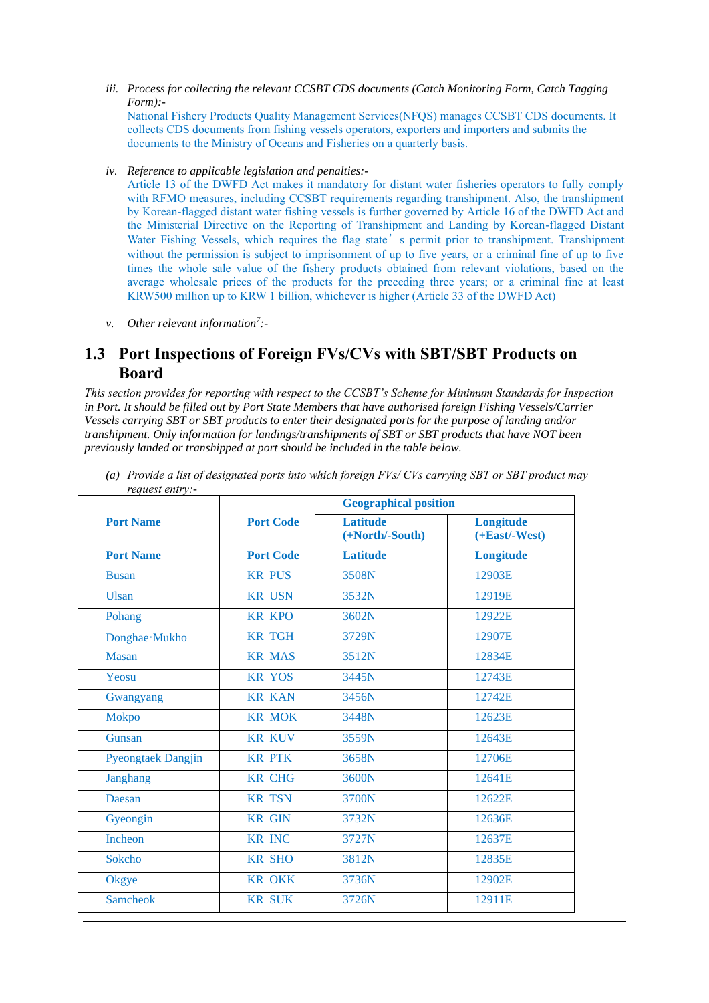*iii. Process for collecting the relevant CCSBT CDS documents (Catch Monitoring Form, Catch Tagging Form):-*

National Fishery Products Quality Management Services(NFQS) manages CCSBT CDS documents. It collects CDS documents from fishing vessels operators, exporters and importers and submits the documents to the Ministry of Oceans and Fisheries on a quarterly basis.

*iv. Reference to applicable legislation and penalties:-*

Article 13 of the DWFD Act makes it mandatory for distant water fisheries operators to fully comply with RFMO measures, including CCSBT requirements regarding transhipment. Also, the transhipment by Korean-flagged distant water fishing vessels is further governed by Article 16 of the DWFD Act and the Ministerial Directive on the Reporting of Transhipment and Landing by Korean-flagged Distant Water Fishing Vessels, which requires the flag state's permit prior to transhipment. Transhipment without the permission is subject to imprisonment of up to five years, or a criminal fine of up to five times the whole sale value of the fishery products obtained from relevant violations, based on the average wholesale prices of the products for the preceding three years; or a criminal fine at least KRW500 million up to KRW 1 billion, whichever is higher (Article 33 of the DWFD Act)

*v. Other relevant information<sup>7</sup> :-*

## **1.3 Port Inspections of Foreign FVs/CVs with SBT/SBT Products on Board**

*This section provides for reporting with respect to the CCSBT's Scheme for Minimum Standards for Inspection in Port. It should be filled out by Port State Members that have authorised foreign Fishing Vessels/Carrier Vessels carrying SBT or SBT products to enter their designated ports for the purpose of landing and/or transhipment. Only information for landings/transhipments of SBT or SBT products that have NOT been previously landed or transhipped at port should be included in the table below.*

| .                         | <b>Port Code</b> | <b>Geographical position</b>       |                                        |
|---------------------------|------------------|------------------------------------|----------------------------------------|
| <b>Port Name</b>          |                  | <b>Latitude</b><br>(+North/-South) | <b>Longitude</b><br>$(+East$ -West $)$ |
| <b>Port Name</b>          | <b>Port Code</b> | <b>Latitude</b>                    | Longitude                              |
| <b>Busan</b>              | <b>KR PUS</b>    | 3508N                              | 12903E                                 |
| <b>Ulsan</b>              | <b>KR USN</b>    | 3532N                              | 12919E                                 |
| Pohang                    | <b>KR KPO</b>    | 3602N                              | 12922E                                 |
| Donghae Mukho             | <b>KR TGH</b>    | 3729N                              | 12907E                                 |
| <b>Masan</b>              | <b>KR MAS</b>    | 3512N                              | 12834E                                 |
| Yeosu                     | <b>KR YOS</b>    | 3445N                              | 12743E                                 |
| Gwangyang                 | <b>KR KAN</b>    | 3456N                              | 12742E                                 |
| Mokpo                     | <b>KR MOK</b>    | 3448N                              | 12623E                                 |
| Gunsan                    | <b>KR KUV</b>    | 3559N                              | 12643E                                 |
| <b>Pyeongtaek Dangjin</b> | <b>KR PTK</b>    | 3658N                              | 12706E                                 |
| Janghang                  | <b>KR CHG</b>    | 3600N                              | 12641E                                 |
| Daesan                    | <b>KR TSN</b>    | 3700N                              | 12622E                                 |
| Gyeongin                  | <b>KR GIN</b>    | 3732N                              | 12636E                                 |
| Incheon                   | <b>KR INC</b>    | 3727N                              | 12637E                                 |
| Sokcho                    | <b>KR SHO</b>    | 3812N                              | 12835E                                 |
| Okgye                     | <b>KR OKK</b>    | 3736N                              | 12902E                                 |
| <b>Samcheok</b>           | <b>KR SUK</b>    | 3726N                              | 12911E                                 |

*(a) Provide a list of designated ports into which foreign FVs/ CVs carrying SBT or SBT product may request entry:-*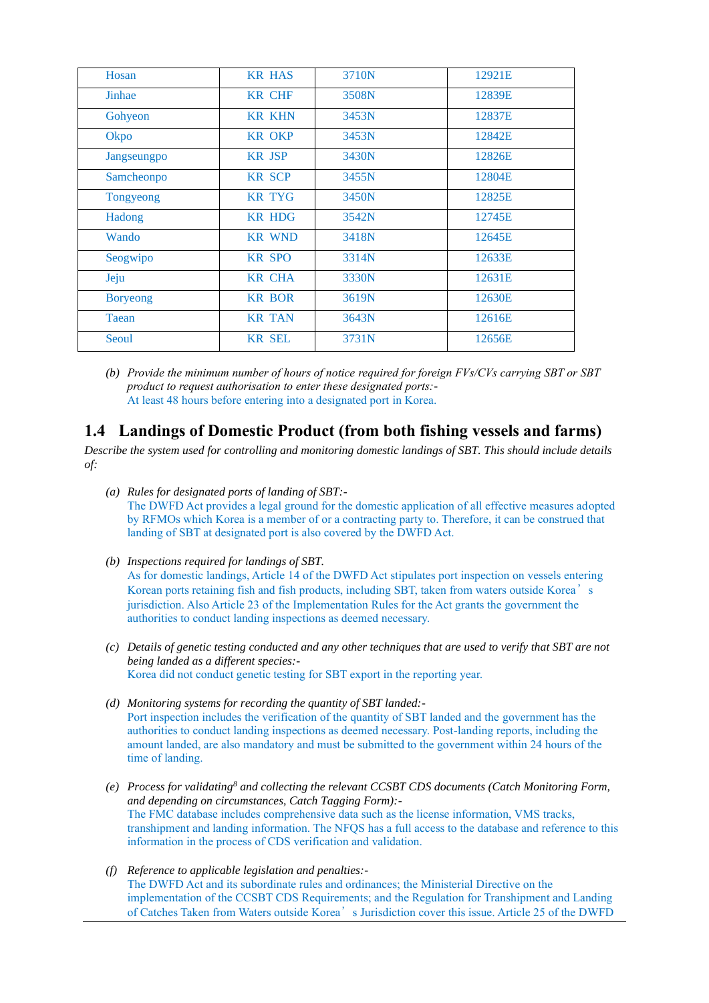| Hosan           | <b>KR HAS</b> | 3710N | 12921E |
|-----------------|---------------|-------|--------|
| Jinhae          | <b>KR CHF</b> | 3508N | 12839E |
| Gohyeon         | <b>KR KHN</b> | 3453N | 12837E |
| Okpo            | <b>KR OKP</b> | 3453N | 12842E |
| Jangseungpo     | <b>KR JSP</b> | 3430N | 12826E |
| Samcheonpo      | <b>KR SCP</b> | 3455N | 12804E |
| Tongyeong       | <b>KR TYG</b> | 3450N | 12825E |
| Hadong          | <b>KR HDG</b> | 3542N | 12745E |
| Wando           | <b>KR WND</b> | 3418N | 12645E |
| Seogwipo        | <b>KR SPO</b> | 3314N | 12633E |
| Jeju            | <b>KR CHA</b> | 3330N | 12631E |
| <b>Boryeong</b> | <b>KR BOR</b> | 3619N | 12630E |
| Taean           | <b>KR TAN</b> | 3643N | 12616E |
| Seoul           | <b>KR SEL</b> | 3731N | 12656E |
|                 |               |       |        |

*(b) Provide the minimum number of hours of notice required for foreign FVs/CVs carrying SBT or SBT product to request authorisation to enter these designated ports:-* At least 48 hours before entering into a designated port in Korea.

## **1.4 Landings of Domestic Product (from both fishing vessels and farms)**

*Describe the system used for controlling and monitoring domestic landings of SBT. This should include details of:*

- *(a) Rules for designated ports of landing of SBT:-* The DWFD Act provides a legal ground for the domestic application of all effective measures adopted by RFMOs which Korea is a member of or a contracting party to. Therefore, it can be construed that landing of SBT at designated port is also covered by the DWFD Act.
- *(b) Inspections required for landings of SBT.*  As for domestic landings, Article 14 of the DWFD Act stipulates port inspection on vessels entering Korean ports retaining fish and fish products, including SBT, taken from waters outside Korea's jurisdiction. Also Article 23 of the Implementation Rules for the Act grants the government the authorities to conduct landing inspections as deemed necessary.
- *(c) Details of genetic testing conducted and any other techniques that are used to verify that SBT are not being landed as a different species:-* Korea did not conduct genetic testing for SBT export in the reporting year.
- *(d) Monitoring systems for recording the quantity of SBT landed:-* Port inspection includes the verification of the quantity of SBT landed and the government has the authorities to conduct landing inspections as deemed necessary. Post-landing reports, including the amount landed, are also mandatory and must be submitted to the government within 24 hours of the time of landing.
- *(e) Process for validating<sup>8</sup> and collecting the relevant CCSBT CDS documents (Catch Monitoring Form, and depending on circumstances, Catch Tagging Form):-* The FMC database includes comprehensive data such as the license information, VMS tracks, transhipment and landing information. The NFQS has a full access to the database and reference to this information in the process of CDS verification and validation.
- *(f) Reference to applicable legislation and penalties:-* The DWFD Act and its subordinate rules and ordinances; the Ministerial Directive on the implementation of the CCSBT CDS Requirements; and the Regulation for Transhipment and Landing of Catches Taken from Waters outside Korea's Jurisdiction cover this issue. Article 25 of the DWFD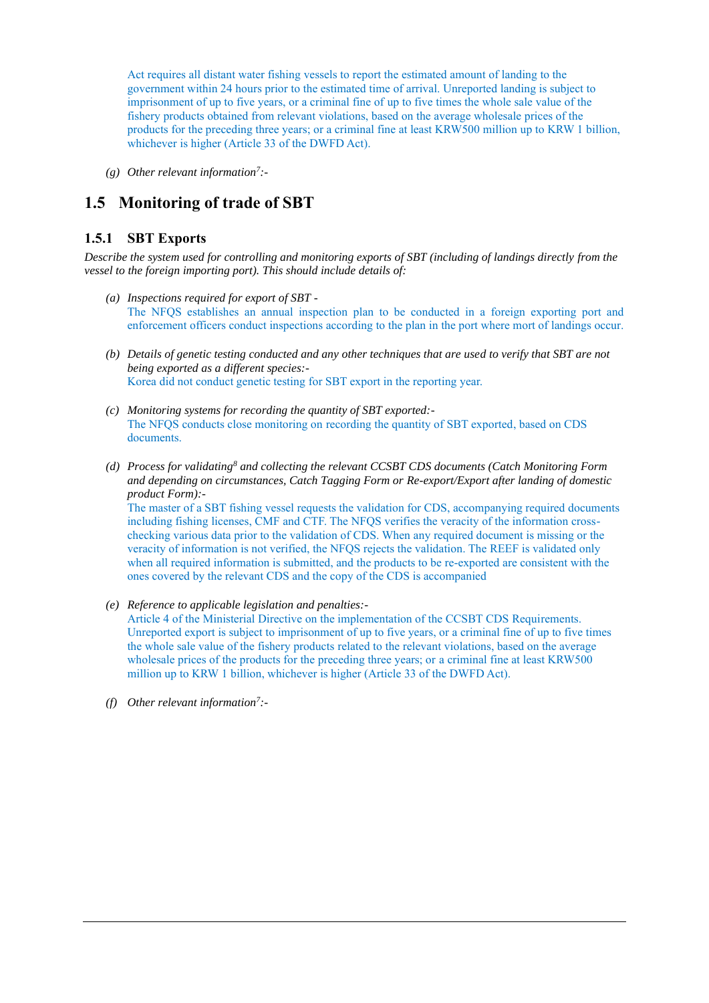Act requires all distant water fishing vessels to report the estimated amount of landing to the government within 24 hours prior to the estimated time of arrival. Unreported landing is subject to imprisonment of up to five years, or a criminal fine of up to five times the whole sale value of the fishery products obtained from relevant violations, based on the average wholesale prices of the products for the preceding three years; or a criminal fine at least KRW500 million up to KRW 1 billion, whichever is higher (Article 33 of the DWFD Act).

*(g) Other relevant information<sup>7</sup> :-*

## **1.5 Monitoring of trade of SBT**

### **1.5.1 SBT Exports**

*Describe the system used for controlling and monitoring exports of SBT (including of landings directly from the vessel to the foreign importing port). This should include details of:*

- *(a) Inspections required for export of SBT -* The NFQS establishes an annual inspection plan to be conducted in a foreign exporting port and enforcement officers conduct inspections according to the plan in the port where mort of landings occur.
- *(b) Details of genetic testing conducted and any other techniques that are used to verify that SBT are not being exported as a different species:-* Korea did not conduct genetic testing for SBT export in the reporting year.
- *(c) Monitoring systems for recording the quantity of SBT exported:-* The NFQS conducts close monitoring on recording the quantity of SBT exported, based on CDS documents.
- *(d) Process for validating<sup>8</sup> and collecting the relevant CCSBT CDS documents (Catch Monitoring Form and depending on circumstances, Catch Tagging Form or Re-export/Export after landing of domestic product Form):-*

The master of a SBT fishing vessel requests the validation for CDS, accompanying required documents including fishing licenses, CMF and CTF. The NFQS verifies the veracity of the information crosschecking various data prior to the validation of CDS. When any required document is missing or the veracity of information is not verified, the NFQS rejects the validation. The REEF is validated only when all required information is submitted, and the products to be re-exported are consistent with the ones covered by the relevant CDS and the copy of the CDS is accompanied

- *(e) Reference to applicable legislation and penalties:-* Article 4 of the Ministerial Directive on the implementation of the CCSBT CDS Requirements. Unreported export is subject to imprisonment of up to five years, or a criminal fine of up to five times the whole sale value of the fishery products related to the relevant violations, based on the average wholesale prices of the products for the preceding three years; or a criminal fine at least KRW500 million up to KRW 1 billion, whichever is higher (Article 33 of the DWFD Act).
- *(f) Other relevant information<sup>7</sup> :-*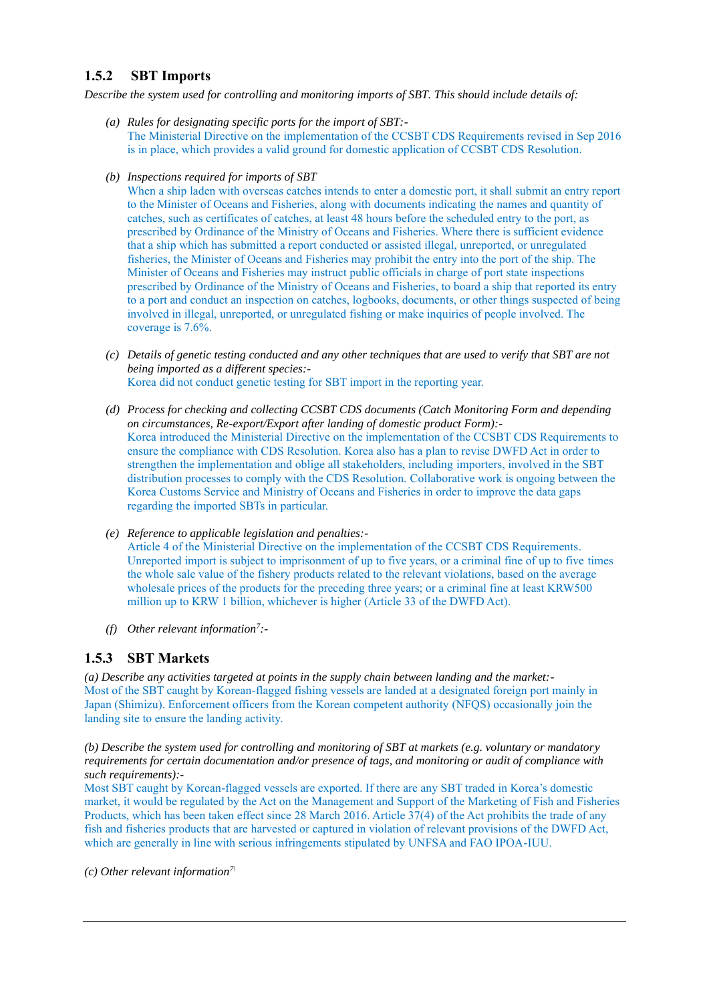### **1.5.2 SBT Imports**

*Describe the system used for controlling and monitoring imports of SBT. This should include details of:*

- *(a) Rules for designating specific ports for the import of SBT:-* The Ministerial Directive on the implementation of the CCSBT CDS Requirements revised in Sep 2016 is in place, which provides a valid ground for domestic application of CCSBT CDS Resolution.
- *(b) Inspections required for imports of SBT*

When a ship laden with overseas catches intends to enter a domestic port, it shall submit an entry report to the Minister of Oceans and Fisheries, along with documents indicating the names and quantity of catches, such as certificates of catches, at least 48 hours before the scheduled entry to the port, as prescribed by Ordinance of the Ministry of Oceans and Fisheries. Where there is sufficient evidence that a ship which has submitted a report conducted or assisted illegal, unreported, or unregulated fisheries, the Minister of Oceans and Fisheries may prohibit the entry into the port of the ship. The Minister of Oceans and Fisheries may instruct public officials in charge of port state inspections prescribed by Ordinance of the Ministry of Oceans and Fisheries, to board a ship that reported its entry to a port and conduct an inspection on catches, logbooks, documents, or other things suspected of being involved in illegal, unreported, or unregulated fishing or make inquiries of people involved. The coverage is 7.6%.

- *(c) Details of genetic testing conducted and any other techniques that are used to verify that SBT are not being imported as a different species:-* Korea did not conduct genetic testing for SBT import in the reporting year.
- *(d) Process for checking and collecting CCSBT CDS documents (Catch Monitoring Form and depending on circumstances, Re-export/Export after landing of domestic product Form):-* Korea introduced the Ministerial Directive on the implementation of the CCSBT CDS Requirements to ensure the compliance with CDS Resolution. Korea also has a plan to revise DWFD Act in order to strengthen the implementation and oblige all stakeholders, including importers, involved in the SBT distribution processes to comply with the CDS Resolution. Collaborative work is ongoing between the Korea Customs Service and Ministry of Oceans and Fisheries in order to improve the data gaps regarding the imported SBTs in particular.
- *(e) Reference to applicable legislation and penalties:-*

Article 4 of the Ministerial Directive on the implementation of the CCSBT CDS Requirements. Unreported import is subject to imprisonment of up to five years, or a criminal fine of up to five times the whole sale value of the fishery products related to the relevant violations, based on the average wholesale prices of the products for the preceding three years; or a criminal fine at least KRW500 million up to KRW 1 billion, whichever is higher (Article 33 of the DWFD Act).

*(f) Other relevant information<sup>7</sup> :-*

### **1.5.3 SBT Markets**

*(a) Describe any activities targeted at points in the supply chain between landing and the market:-* Most of the SBT caught by Korean-flagged fishing vessels are landed at a designated foreign port mainly in Japan (Shimizu). Enforcement officers from the Korean competent authority (NFQS) occasionally join the landing site to ensure the landing activity.

*(b) Describe the system used for controlling and monitoring of SBT at markets (e.g. voluntary or mandatory requirements for certain documentation and/or presence of tags, and monitoring or audit of compliance with such requirements):-*

Most SBT caught by Korean-flagged vessels are exported. If there are any SBT traded in Korea's domestic market, it would be regulated by the Act on the Management and Support of the Marketing of Fish and Fisheries Products, which has been taken effect since 28 March 2016. Article 37(4) of the Act prohibits the trade of any fish and fisheries products that are harvested or captured in violation of relevant provisions of the DWFD Act, which are generally in line with serious infringements stipulated by UNFSA and FAO IPOA-IUU.

*(c) Other relevant information7\*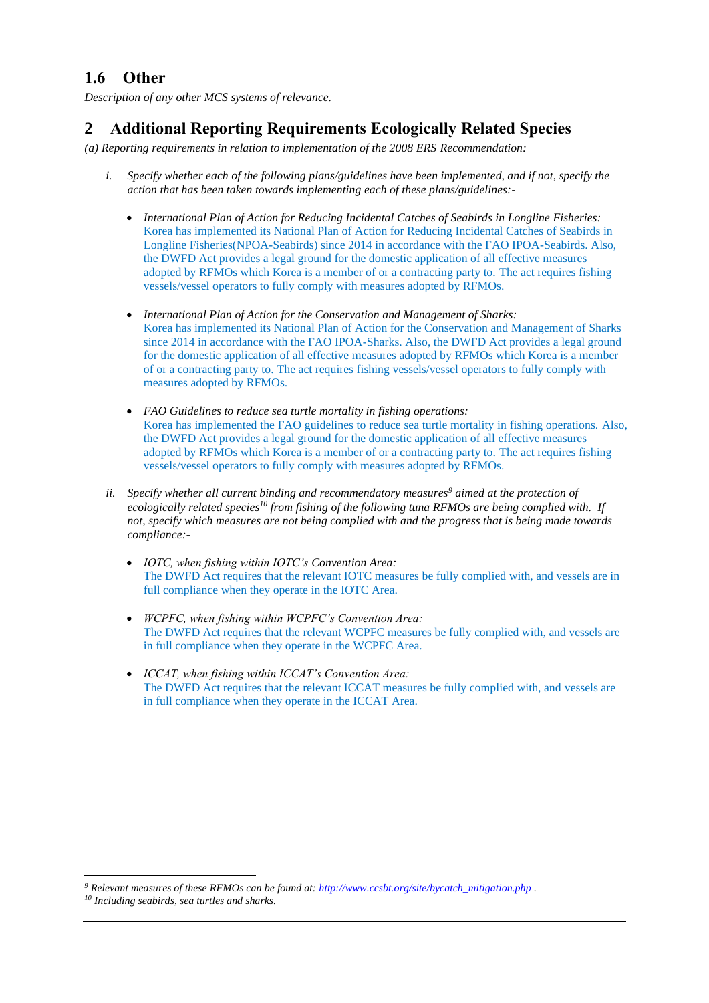## **1.6 Other**

*Description of any other MCS systems of relevance.*

# **2 Additional Reporting Requirements Ecologically Related Species**

*(a) Reporting requirements in relation to implementation of the 2008 ERS Recommendation:*

- *i. Specify whether each of the following plans/guidelines have been implemented, and if not, specify the action that has been taken towards implementing each of these plans/guidelines:-*
	- *International Plan of Action for Reducing Incidental Catches of Seabirds in Longline Fisheries:* Korea has implemented its National Plan of Action for Reducing Incidental Catches of Seabirds in Longline Fisheries(NPOA-Seabirds) since 2014 in accordance with the FAO IPOA-Seabirds. Also, the DWFD Act provides a legal ground for the domestic application of all effective measures adopted by RFMOs which Korea is a member of or a contracting party to. The act requires fishing vessels/vessel operators to fully comply with measures adopted by RFMOs.
	- *International Plan of Action for the Conservation and Management of Sharks:* Korea has implemented its National Plan of Action for the Conservation and Management of Sharks since 2014 in accordance with the FAO IPOA-Sharks. Also, the DWFD Act provides a legal ground for the domestic application of all effective measures adopted by RFMOs which Korea is a member of or a contracting party to. The act requires fishing vessels/vessel operators to fully comply with measures adopted by RFMOs.
	- *FAO Guidelines to reduce sea turtle mortality in fishing operations:* Korea has implemented the FAO guidelines to reduce sea turtle mortality in fishing operations. Also, the DWFD Act provides a legal ground for the domestic application of all effective measures adopted by RFMOs which Korea is a member of or a contracting party to. The act requires fishing vessels/vessel operators to fully comply with measures adopted by RFMOs.
- *ii. Specify whether all current binding and recommendatory measures<sup>9</sup> aimed at the protection of ecologically related species<sup>10</sup> from fishing of the following tuna RFMOs are being complied with. If not, specify which measures are not being complied with and the progress that is being made towards compliance:-*
	- *IOTC, when fishing within IOTC's Convention Area:* The DWFD Act requires that the relevant IOTC measures be fully complied with, and vessels are in full compliance when they operate in the IOTC Area.
	- *WCPFC, when fishing within WCPFC's Convention Area:* The DWFD Act requires that the relevant WCPFC measures be fully complied with, and vessels are in full compliance when they operate in the WCPFC Area.
	- *ICCAT, when fishing within ICCAT's Convention Area:* The DWFD Act requires that the relevant ICCAT measures be fully complied with, and vessels are in full compliance when they operate in the ICCAT Area.

*<sup>9</sup> Relevant measures of these RFMOs can be found at: [http://www.ccsbt.org/site/bycatch\\_mitigation.php](http://www.ccsbt.org/site/bycatch_mitigation.php) .*

*<sup>10</sup> Including seabirds, sea turtles and sharks.*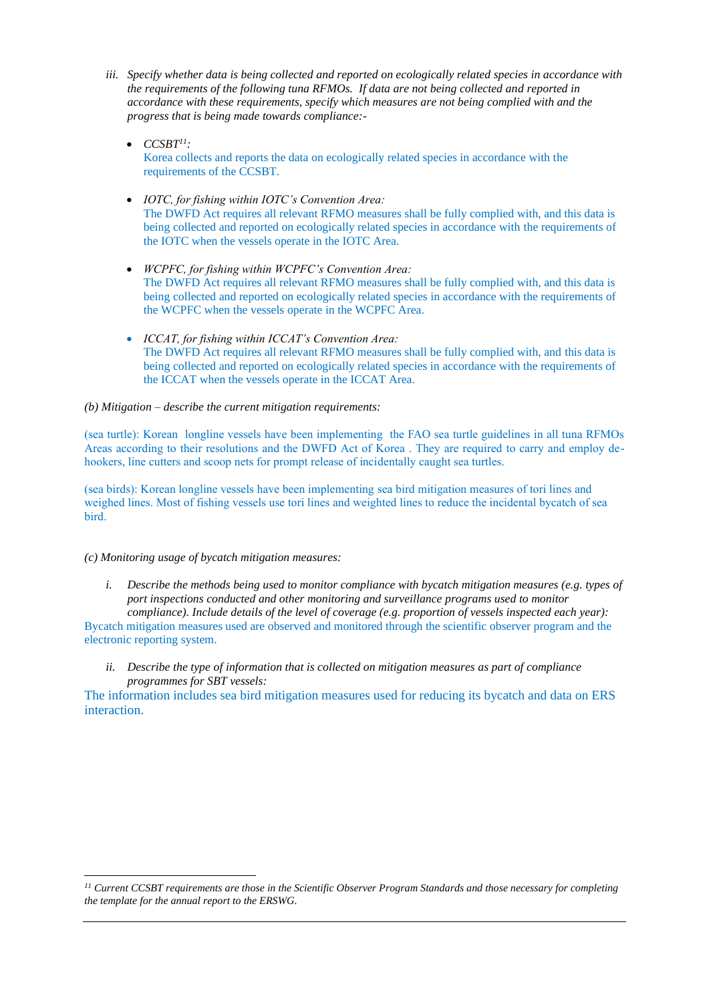- *iii. Specify whether data is being collected and reported on ecologically related species in accordance with the requirements of the following tuna RFMOs. If data are not being collected and reported in accordance with these requirements, specify which measures are not being complied with and the progress that is being made towards compliance:-*
	- $\bullet$  *CCSBT<sup>11</sup>*: Korea collects and reports the data on ecologically related species in accordance with the requirements of the CCSBT.
	- *IOTC, for fishing within IOTC's Convention Area:* The DWFD Act requires all relevant RFMO measures shall be fully complied with, and this data is being collected and reported on ecologically related species in accordance with the requirements of the IOTC when the vessels operate in the IOTC Area.
	- *WCPFC, for fishing within WCPFC's Convention Area:* The DWFD Act requires all relevant RFMO measures shall be fully complied with, and this data is being collected and reported on ecologically related species in accordance with the requirements of the WCPFC when the vessels operate in the WCPFC Area.
	- *ICCAT, for fishing within ICCAT's Convention Area:* The DWFD Act requires all relevant RFMO measures shall be fully complied with, and this data is being collected and reported on ecologically related species in accordance with the requirements of the ICCAT when the vessels operate in the ICCAT Area.

#### *(b) Mitigation – describe the current mitigation requirements:*

(sea turtle): Korean longline vessels have been implementing the FAO sea turtle guidelines in all tuna RFMOs Areas according to their resolutions and the DWFD Act of Korea . They are required to carry and employ dehookers, line cutters and scoop nets for prompt release of incidentally caught sea turtles.

(sea birds): Korean longline vessels have been implementing sea bird mitigation measures of tori lines and weighed lines. Most of fishing vessels use tori lines and weighted lines to reduce the incidental bycatch of sea bird.

#### *(c) Monitoring usage of bycatch mitigation measures:*

*i. Describe the methods being used to monitor compliance with bycatch mitigation measures (e.g. types of port inspections conducted and other monitoring and surveillance programs used to monitor compliance). Include details of the level of coverage (e.g. proportion of vessels inspected each year):*

Bycatch mitigation measures used are observed and monitored through the scientific observer program and the electronic reporting system.

*ii. Describe the type of information that is collected on mitigation measures as part of compliance programmes for SBT vessels:*

The information includes sea bird mitigation measures used for reducing its bycatch and data on ERS interaction.

*<sup>11</sup> Current CCSBT requirements are those in the Scientific Observer Program Standards and those necessary for completing the template for the annual report to the ERSWG.*